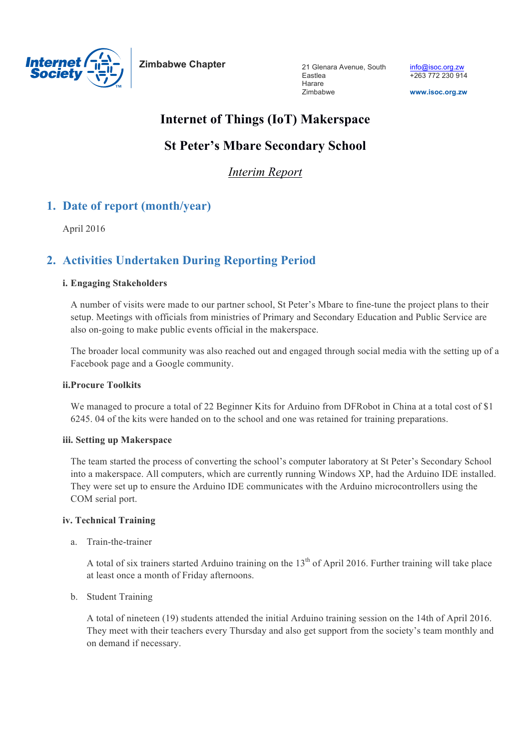

**Zimbabwe Chapter**

21 Glenara Avenue, South Eastlea Harare Zimbabwe

**www.isoc.org.zw**

# **Internet of Things (IoT) Makerspace**

# **St Peter's Mbare Secondary School**

*Interim Report*

# **1. Date of report (month/year)**

April 2016

# **2. Activities Undertaken During Reporting Period**

## **i. Engaging Stakeholders**

A number of visits were made to our partner school, St Peter's Mbare to fine-tune the project plans to their setup. Meetings with officials from ministries of Primary and Secondary Education and Public Service are also on-going to make public events official in the makerspace.

The broader local community was also reached out and engaged through social media with the setting up of a Facebook page and a Google community.

### **ii.Procure Toolkits**

We managed to procure a total of 22 Beginner Kits for Arduino from DFRobot in China at a total cost of \$1 6245. 04 of the kits were handed on to the school and one was retained for training preparations.

### **iii. Setting up Makerspace**

The team started the process of converting the school's computer laboratory at St Peter's Secondary School into a makerspace. All computers, which are currently running Windows XP, had the Arduino IDE installed. They were set up to ensure the Arduino IDE communicates with the Arduino microcontrollers using the COM serial port.

## **iv. Technical Training**

a. Train-the-trainer

A total of six trainers started Arduino training on the  $13<sup>th</sup>$  of April 2016. Further training will take place at least once a month of Friday afternoons.

b. Student Training

A total of nineteen (19) students attended the initial Arduino training session on the 14th of April 2016. They meet with their teachers every Thursday and also get support from the society's team monthly and on demand if necessary.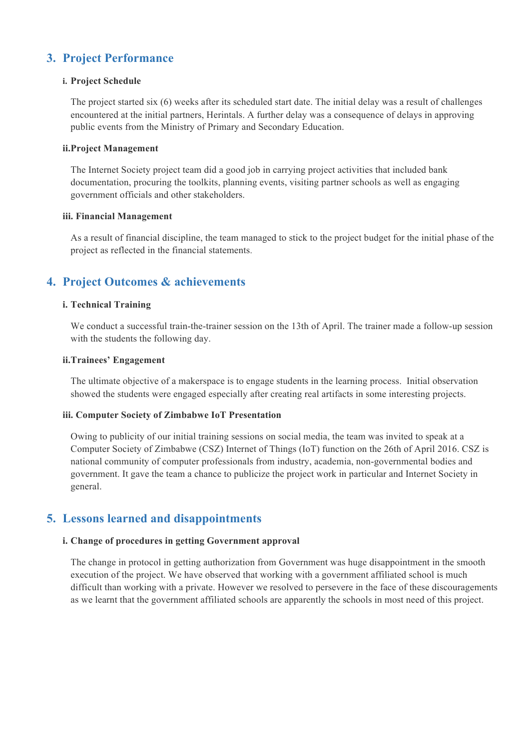# **3. Project Performance**

## **i. Project Schedule**

The project started six (6) weeks after its scheduled start date. The initial delay was a result of challenges encountered at the initial partners, Herintals. A further delay was a consequence of delays in approving public events from the Ministry of Primary and Secondary Education.

### **ii.Project Management**

The Internet Society project team did a good job in carrying project activities that included bank documentation, procuring the toolkits, planning events, visiting partner schools as well as engaging government officials and other stakeholders.

## **iii. Financial Management**

As a result of financial discipline, the team managed to stick to the project budget for the initial phase of the project as reflected in the financial statements.

# **4. Project Outcomes & achievements**

## **i. Technical Training**

We conduct a successful train-the-trainer session on the 13th of April. The trainer made a follow-up session with the students the following day.

### **ii.Trainees' Engagement**

The ultimate objective of a makerspace is to engage students in the learning process. Initial observation showed the students were engaged especially after creating real artifacts in some interesting projects.

### **iii. Computer Society of Zimbabwe IoT Presentation**

Owing to publicity of our initial training sessions on social media, the team was invited to speak at a Computer Society of Zimbabwe (CSZ) Internet of Things (IoT) function on the 26th of April 2016. CSZ is national community of computer professionals from industry, academia, non-governmental bodies and government. It gave the team a chance to publicize the project work in particular and Internet Society in general.

## **5. Lessons learned and disappointments**

## **i. Change of procedures in getting Government approval**

The change in protocol in getting authorization from Government was huge disappointment in the smooth execution of the project. We have observed that working with a government affiliated school is much difficult than working with a private. However we resolved to persevere in the face of these discouragements as we learnt that the government affiliated schools are apparently the schools in most need of this project.